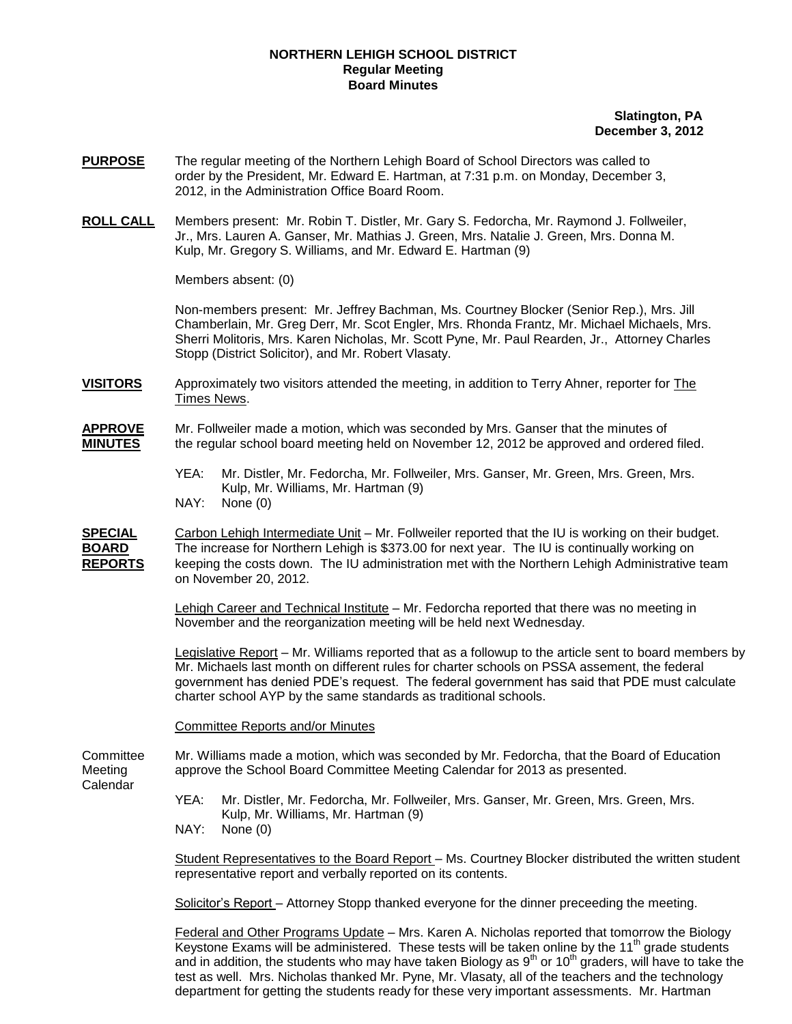## **NORTHERN LEHIGH SCHOOL DISTRICT Regular Meeting Board Minutes**

## **Slatington, PA December 3, 2012**

- **PURPOSE** The regular meeting of the Northern Lehigh Board of School Directors was called to order by the President, Mr. Edward E. Hartman, at 7:31 p.m. on Monday, December 3, 2012, in the Administration Office Board Room.
- **ROLL CALL** Members present: Mr. Robin T. Distler, Mr. Gary S. Fedorcha, Mr. Raymond J. Follweiler, Jr., Mrs. Lauren A. Ganser, Mr. Mathias J. Green, Mrs. Natalie J. Green, Mrs. Donna M. Kulp, Mr. Gregory S. Williams, and Mr. Edward E. Hartman (9)

Members absent: (0)

Non-members present: Mr. Jeffrey Bachman, Ms. Courtney Blocker (Senior Rep.), Mrs. Jill Chamberlain, Mr. Greg Derr, Mr. Scot Engler, Mrs. Rhonda Frantz, Mr. Michael Michaels, Mrs. Sherri Molitoris, Mrs. Karen Nicholas, Mr. Scott Pyne, Mr. Paul Rearden, Jr., Attorney Charles Stopp (District Solicitor), and Mr. Robert Vlasaty.

**VISITORS** Approximately two visitors attended the meeting, in addition to Terry Ahner, reporter for The Times News.

## **APPROVE** Mr. Follweiler made a motion, which was seconded by Mrs. Ganser that the minutes of **MINUTES** the regular school board meeting held on November 12, 2012 be approved and ordered filed.

YEA: Mr. Distler, Mr. Fedorcha, Mr. Follweiler, Mrs. Ganser, Mr. Green, Mrs. Green, Mrs. Kulp, Mr. Williams, Mr. Hartman (9) NAY: None (0)

**SPECIAL** Carbon Lehigh Intermediate Unit – Mr. Follweiler reported that the IU is working on their budget. **BOARD** The increase for Northern Lehigh is \$373.00 for next year. The IU is continually working on **REPORTS** keeping the costs down. The IU administration met with the Northern Lehigh Administrative team on November 20, 2012.

> Lehigh Career and Technical Institute – Mr. Fedorcha reported that there was no meeting in November and the reorganization meeting will be held next Wednesday.

Legislative Report – Mr. Williams reported that as a followup to the article sent to board members by Mr. Michaels last month on different rules for charter schools on PSSA assement, the federal government has denied PDE's request. The federal government has said that PDE must calculate charter school AYP by the same standards as traditional schools.

Committee Reports and/or Minutes

Committee Mr. Williams made a motion, which was seconded by Mr. Fedorcha, that the Board of Education Meeting approve the School Board Committee Meeting Calendar for 2013 as presented. Calendar

> YEA: Mr. Distler, Mr. Fedorcha, Mr. Follweiler, Mrs. Ganser, Mr. Green, Mrs. Green, Mrs. Kulp, Mr. Williams, Mr. Hartman (9)

NAY: None (0)

Student Representatives to the Board Report – Ms. Courtney Blocker distributed the written student representative report and verbally reported on its contents.

Solicitor's Report – Attorney Stopp thanked everyone for the dinner preceeding the meeting.

Federal and Other Programs Update – Mrs. Karen A. Nicholas reported that tomorrow the Biology Keystone Exams will be administered. These tests will be taken online by the  $11<sup>th</sup>$  grade students and in addition, the students who may have taken Biology as  $9<sup>th</sup>$  or 10<sup>th</sup> graders, will have to take the test as well. Mrs. Nicholas thanked Mr. Pyne, Mr. Vlasaty, all of the teachers and the technology department for getting the students ready for these very important assessments. Mr. Hartman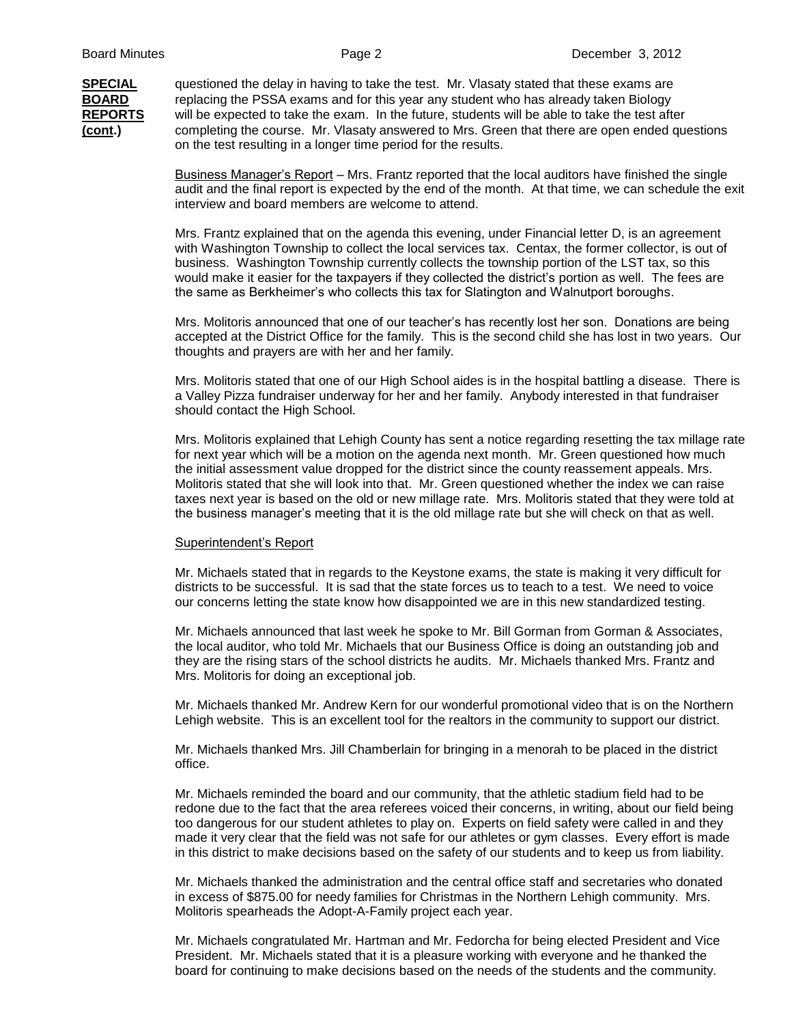**SPECIAL** questioned the delay in having to take the test. Mr. Vlasaty stated that these exams are **BOARD** replacing the PSSA exams and for this year any student who has already taken Biology **REPORTS** will be expected to take the exam. In the future, students will be able to take the test after **(cont.)** completing the course. Mr. Vlasaty answered to Mrs. Green that there are open ended questions on the test resulting in a longer time period for the results.

> Business Manager's Report – Mrs. Frantz reported that the local auditors have finished the single audit and the final report is expected by the end of the month. At that time, we can schedule the exit interview and board members are welcome to attend.

Mrs. Frantz explained that on the agenda this evening, under Financial letter D, is an agreement with Washington Township to collect the local services tax. Centax, the former collector, is out of business. Washington Township currently collects the township portion of the LST tax, so this would make it easier for the taxpayers if they collected the district's portion as well. The fees are the same as Berkheimer's who collects this tax for Slatington and Walnutport boroughs.

Mrs. Molitoris announced that one of our teacher's has recently lost her son. Donations are being accepted at the District Office for the family. This is the second child she has lost in two years. Our thoughts and prayers are with her and her family.

Mrs. Molitoris stated that one of our High School aides is in the hospital battling a disease. There is a Valley Pizza fundraiser underway for her and her family. Anybody interested in that fundraiser should contact the High School.

Mrs. Molitoris explained that Lehigh County has sent a notice regarding resetting the tax millage rate for next year which will be a motion on the agenda next month. Mr. Green questioned how much the initial assessment value dropped for the district since the county reassement appeals. Mrs. Molitoris stated that she will look into that. Mr. Green questioned whether the index we can raise taxes next year is based on the old or new millage rate. Mrs. Molitoris stated that they were told at the business manager's meeting that it is the old millage rate but she will check on that as well.

## Superintendent's Report

Mr. Michaels stated that in regards to the Keystone exams, the state is making it very difficult for districts to be successful. It is sad that the state forces us to teach to a test. We need to voice our concerns letting the state know how disappointed we are in this new standardized testing.

Mr. Michaels announced that last week he spoke to Mr. Bill Gorman from Gorman & Associates, the local auditor, who told Mr. Michaels that our Business Office is doing an outstanding job and they are the rising stars of the school districts he audits. Mr. Michaels thanked Mrs. Frantz and Mrs. Molitoris for doing an exceptional job.

Mr. Michaels thanked Mr. Andrew Kern for our wonderful promotional video that is on the Northern Lehigh website. This is an excellent tool for the realtors in the community to support our district.

Mr. Michaels thanked Mrs. Jill Chamberlain for bringing in a menorah to be placed in the district office.

Mr. Michaels reminded the board and our community, that the athletic stadium field had to be redone due to the fact that the area referees voiced their concerns, in writing, about our field being too dangerous for our student athletes to play on. Experts on field safety were called in and they made it very clear that the field was not safe for our athletes or gym classes. Every effort is made in this district to make decisions based on the safety of our students and to keep us from liability.

Mr. Michaels thanked the administration and the central office staff and secretaries who donated in excess of \$875.00 for needy families for Christmas in the Northern Lehigh community. Mrs. Molitoris spearheads the Adopt-A-Family project each year.

Mr. Michaels congratulated Mr. Hartman and Mr. Fedorcha for being elected President and Vice President. Mr. Michaels stated that it is a pleasure working with everyone and he thanked the board for continuing to make decisions based on the needs of the students and the community.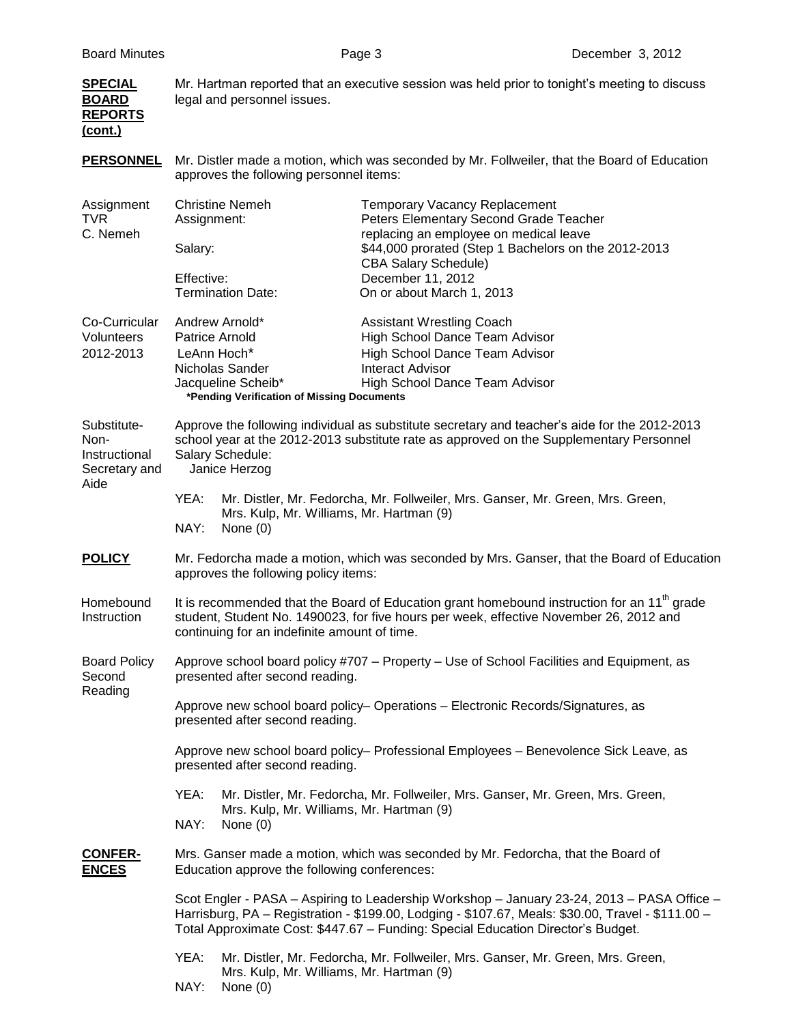| <b>SPECIAL</b><br><b>BOARD</b><br><b>REPORTS</b><br>(cont.)   | Mr. Hartman reported that an executive session was held prior to tonight's meeting to discuss<br>legal and personnel issues.                                                                                                                                                                                                                                                              |                                                                                                                                                                                                                                      |  |
|---------------------------------------------------------------|-------------------------------------------------------------------------------------------------------------------------------------------------------------------------------------------------------------------------------------------------------------------------------------------------------------------------------------------------------------------------------------------|--------------------------------------------------------------------------------------------------------------------------------------------------------------------------------------------------------------------------------------|--|
| <b>PERSONNEL</b>                                              | Mr. Distler made a motion, which was seconded by Mr. Follweiler, that the Board of Education<br>approves the following personnel items:                                                                                                                                                                                                                                                   |                                                                                                                                                                                                                                      |  |
| Assignment<br><b>TVR</b><br>C. Nemeh                          | <b>Christine Nemeh</b><br>Assignment:<br>Salary:<br>Effective:                                                                                                                                                                                                                                                                                                                            | <b>Temporary Vacancy Replacement</b><br>Peters Elementary Second Grade Teacher<br>replacing an employee on medical leave<br>\$44,000 prorated (Step 1 Bachelors on the 2012-2013<br><b>CBA Salary Schedule)</b><br>December 11, 2012 |  |
| Co-Curricular<br>Volunteers<br>2012-2013                      | <b>Termination Date:</b><br>Andrew Arnold*<br>Patrice Arnold<br>LeAnn Hoch*<br>Nicholas Sander<br>Jacqueline Scheib*<br>*Pending Verification of Missing Documents                                                                                                                                                                                                                        | On or about March 1, 2013<br><b>Assistant Wrestling Coach</b><br>High School Dance Team Advisor<br>High School Dance Team Advisor<br><b>Interact Advisor</b><br>High School Dance Team Advisor                                       |  |
| Substitute-<br>Non-<br>Instructional<br>Secretary and<br>Aide | Approve the following individual as substitute secretary and teacher's aide for the 2012-2013<br>school year at the 2012-2013 substitute rate as approved on the Supplementary Personnel<br>Salary Schedule:<br>Janice Herzog<br>YEA:<br>Mr. Distler, Mr. Fedorcha, Mr. Follweiler, Mrs. Ganser, Mr. Green, Mrs. Green,<br>Mrs. Kulp, Mr. Williams, Mr. Hartman (9)<br>NAY:<br>None $(0)$ |                                                                                                                                                                                                                                      |  |
| <b>POLICY</b>                                                 | Mr. Fedorcha made a motion, which was seconded by Mrs. Ganser, that the Board of Education<br>approves the following policy items:                                                                                                                                                                                                                                                        |                                                                                                                                                                                                                                      |  |
| Homebound<br>Instruction                                      | It is recommended that the Board of Education grant homebound instruction for an $11th$ grade<br>student, Student No. 1490023, for five hours per week, effective November 26, 2012 and<br>continuing for an indefinite amount of time.                                                                                                                                                   |                                                                                                                                                                                                                                      |  |
| <b>Board Policy</b><br>Second<br>Reading                      | Approve school board policy #707 - Property - Use of School Facilities and Equipment, as<br>presented after second reading.                                                                                                                                                                                                                                                               |                                                                                                                                                                                                                                      |  |
|                                                               | Approve new school board policy- Operations - Electronic Records/Signatures, as<br>presented after second reading.                                                                                                                                                                                                                                                                        |                                                                                                                                                                                                                                      |  |
|                                                               | Approve new school board policy- Professional Employees - Benevolence Sick Leave, as<br>presented after second reading.                                                                                                                                                                                                                                                                   |                                                                                                                                                                                                                                      |  |
|                                                               | YEA:<br>Mrs. Kulp, Mr. Williams, Mr. Hartman (9)<br>NAY:<br>None $(0)$                                                                                                                                                                                                                                                                                                                    | Mr. Distler, Mr. Fedorcha, Mr. Follweiler, Mrs. Ganser, Mr. Green, Mrs. Green,                                                                                                                                                       |  |
| <b>CONFER-</b><br><b>ENCES</b>                                | Mrs. Ganser made a motion, which was seconded by Mr. Fedorcha, that the Board of<br>Education approve the following conferences:                                                                                                                                                                                                                                                          |                                                                                                                                                                                                                                      |  |
|                                                               | Scot Engler - PASA - Aspiring to Leadership Workshop - January 23-24, 2013 - PASA Office -<br>Harrisburg, PA - Registration - \$199.00, Lodging - \$107.67, Meals: \$30.00, Travel - \$111.00 -<br>Total Approximate Cost: \$447.67 - Funding: Special Education Director's Budget.                                                                                                       |                                                                                                                                                                                                                                      |  |
|                                                               | YEA:<br>Mrs. Kulp, Mr. Williams, Mr. Hartman (9)<br>NAY:<br>None $(0)$                                                                                                                                                                                                                                                                                                                    | Mr. Distler, Mr. Fedorcha, Mr. Follweiler, Mrs. Ganser, Mr. Green, Mrs. Green,                                                                                                                                                       |  |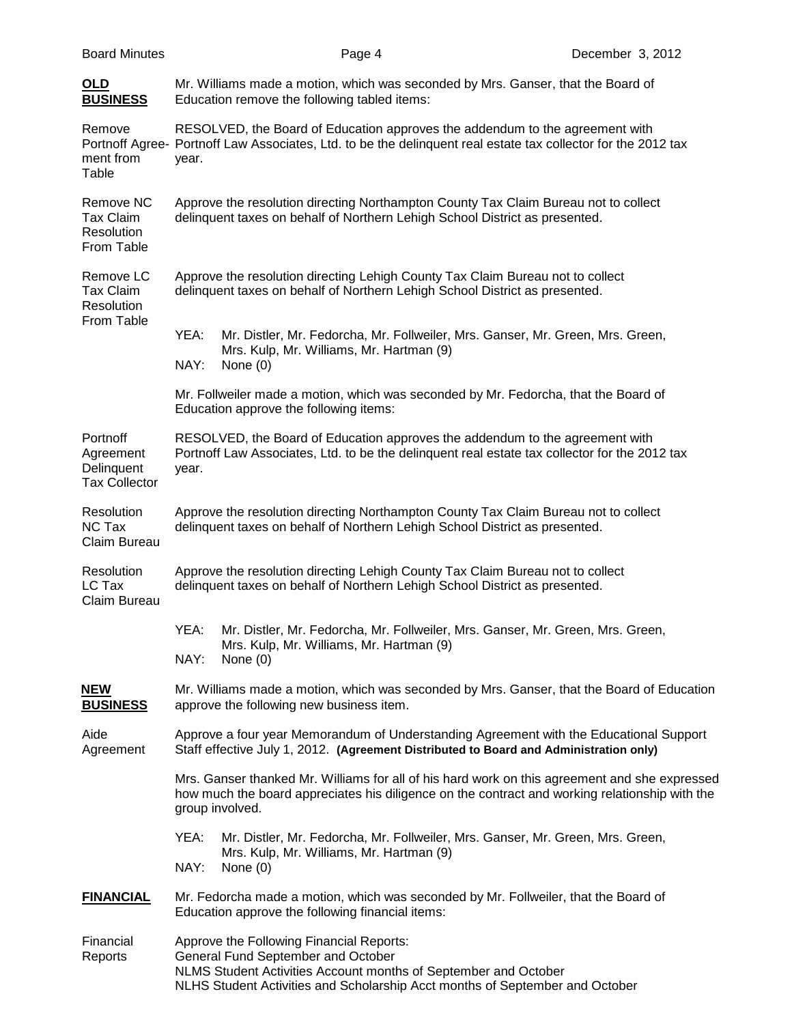| <b>Board Minutes</b>                                        | Page 4                                                                                                                                                                                                                            | December 3, 2012 |  |  |  |
|-------------------------------------------------------------|-----------------------------------------------------------------------------------------------------------------------------------------------------------------------------------------------------------------------------------|------------------|--|--|--|
| OLD<br><b>BUSINESS</b>                                      | Mr. Williams made a motion, which was seconded by Mrs. Ganser, that the Board of<br>Education remove the following tabled items:                                                                                                  |                  |  |  |  |
| Remove<br>ment from<br>Table                                | RESOLVED, the Board of Education approves the addendum to the agreement with<br>Portnoff Agree- Portnoff Law Associates, Ltd. to be the delinquent real estate tax collector for the 2012 tax<br>year.                            |                  |  |  |  |
| Remove NC<br>Tax Claim<br>Resolution<br>From Table          | Approve the resolution directing Northampton County Tax Claim Bureau not to collect<br>delinquent taxes on behalf of Northern Lehigh School District as presented.                                                                |                  |  |  |  |
| Remove LC<br><b>Tax Claim</b><br>Resolution                 | Approve the resolution directing Lehigh County Tax Claim Bureau not to collect<br>delinquent taxes on behalf of Northern Lehigh School District as presented.                                                                     |                  |  |  |  |
| From Table                                                  | YEA:<br>Mr. Distler, Mr. Fedorcha, Mr. Follweiler, Mrs. Ganser, Mr. Green, Mrs. Green,<br>Mrs. Kulp, Mr. Williams, Mr. Hartman (9)<br>NAY:<br>None $(0)$                                                                          |                  |  |  |  |
|                                                             | Mr. Follweiler made a motion, which was seconded by Mr. Fedorcha, that the Board of<br>Education approve the following items:                                                                                                     |                  |  |  |  |
| Portnoff<br>Agreement<br>Delinquent<br><b>Tax Collector</b> | RESOLVED, the Board of Education approves the addendum to the agreement with<br>Portnoff Law Associates, Ltd. to be the delinquent real estate tax collector for the 2012 tax<br>year.                                            |                  |  |  |  |
| Resolution<br>NC Tax<br>Claim Bureau                        | Approve the resolution directing Northampton County Tax Claim Bureau not to collect<br>delinquent taxes on behalf of Northern Lehigh School District as presented.                                                                |                  |  |  |  |
| Resolution<br>LC Tax<br>Claim Bureau                        | Approve the resolution directing Lehigh County Tax Claim Bureau not to collect<br>delinquent taxes on behalf of Northern Lehigh School District as presented.                                                                     |                  |  |  |  |
|                                                             | YEA: Mr. Distler, Mr. Fedorcha, Mr. Follweiler, Mrs. Ganser, Mr. Green, Mrs. Green,<br>Mrs. Kulp, Mr. Williams, Mr. Hartman (9)<br>NAY:<br>None $(0)$                                                                             |                  |  |  |  |
| <u>NEW</u><br><b>BUSINESS</b>                               | Mr. Williams made a motion, which was seconded by Mrs. Ganser, that the Board of Education<br>approve the following new business item.                                                                                            |                  |  |  |  |
| Aide<br>Agreement                                           | Approve a four year Memorandum of Understanding Agreement with the Educational Support<br>Staff effective July 1, 2012. (Agreement Distributed to Board and Administration only)                                                  |                  |  |  |  |
|                                                             | Mrs. Ganser thanked Mr. Williams for all of his hard work on this agreement and she expressed<br>how much the board appreciates his diligence on the contract and working relationship with the<br>group involved.                |                  |  |  |  |
|                                                             | YEA:<br>Mr. Distler, Mr. Fedorcha, Mr. Follweiler, Mrs. Ganser, Mr. Green, Mrs. Green,<br>Mrs. Kulp, Mr. Williams, Mr. Hartman (9)<br>NAY:<br>None $(0)$                                                                          |                  |  |  |  |
| <b>FINANCIAL</b>                                            | Mr. Fedorcha made a motion, which was seconded by Mr. Follweiler, that the Board of<br>Education approve the following financial items:                                                                                           |                  |  |  |  |
| Financial<br>Reports                                        | Approve the Following Financial Reports:<br>General Fund September and October<br>NLMS Student Activities Account months of September and October<br>NLHS Student Activities and Scholarship Acct months of September and October |                  |  |  |  |